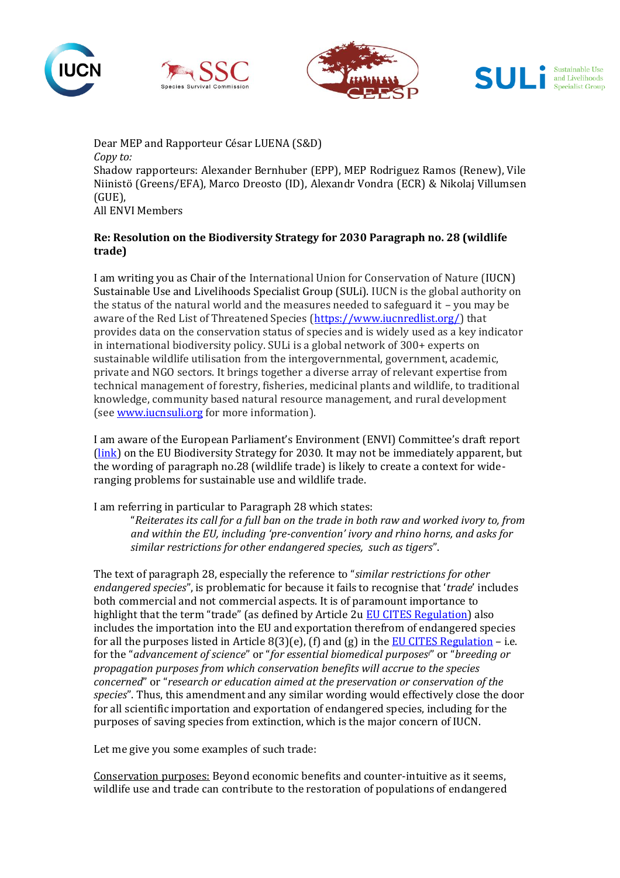







Dear MEP and Rapporteur César LUENA (S&D) *Copy to:* Shadow rapporteurs: Alexander Bernhuber (EPP), MEP Rodriguez Ramos (Renew), Vile Niinistö (Greens/EFA), Marco Dreosto (ID), Alexandr Vondra (ECR) & Nikolaj Villumsen (GUE), All ENVI Members

## **Re: Resolution on the Biodiversity Strategy for 2030 Paragraph no. 28 (wildlife trade)**

I am writing you as Chair of the International Union for Conservation of Nature (IUCN) Sustainable Use and Livelihoods Specialist Group (SULi). IUCN is the global authority on the status of the natural world and the measures needed to safeguard it – you may be aware of the Red List of Threatened Species [\(https://www.iucnredlist.org/\)](https://www.iucnredlist.org/) that provides data on the conservation status of species and is widely used as a key indicator in international biodiversity policy. SULi is a global network of 300+ experts on sustainable wildlife utilisation from the intergovernmental, government, academic, private and NGO sectors. It brings together a diverse array of relevant expertise from technical management of forestry, fisheries, medicinal plants and wildlife, to traditional knowledge, community based natural resource management, and rural development (see [www.iucnsuli.org](http://www.iucnsuli.org/) for more information).

I am aware of the European Parliament's Environment (ENVI) Committee's draft report [\(link\)](https://www.europarl.europa.eu/meetdocs/2014_2019/plmrep/COMMITTEES/ENVI/PR/2021/01-14/1220408EN.pdf) on the EU Biodiversity Strategy for 2030. It may not be immediately apparent, but the wording of paragraph no.28 (wildlife trade) is likely to create a context for wideranging problems for sustainable use and wildlife trade.

I am referring in particular to Paragraph 28 which states:

"*Reiterates its call for a full ban on the trade in both raw and worked ivory to, from and within the EU, including 'pre-convention' ivory and rhino horns, and asks for similar restrictions for other endangered species, such as tigers*".

The text of paragraph 28, especially the reference to "*similar restrictions for other endangered species*", is problematic for because it fails to recognise that '*trade*' includes both commercial and not commercial aspects. It is of paramount importance to highlight that the term "trade" (as defined by Article 2u [EU CITES Regulation\)](https://eur-lex.europa.eu/legal-content/EN/TXT/?uri=CELEX%3A01997R0338-20200101&qid=1484753427128) also includes the importation into the EU and exportation therefrom of endangered species for all the purposes listed in Article  $8(3)(e)$ , (f) and (g) in the [EU CITES Regulation](https://eur-lex.europa.eu/legal-content/EN/TXT/?uri=CELEX%3A01997R0338-20200101&qid=1484753427128) – i.e. for the "*advancement of science*" or "*for essential biomedical purposesi*" or "*breeding or propagation purposes from which conservation benefits will accrue to the species concerned*" or "*research or education aimed at the preservation or conservation of the species*". Thus, this amendment and any similar wording would effectively close the door for all scientific importation and exportation of endangered species, including for the purposes of saving species from extinction, which is the major concern of IUCN.

Let me give you some examples of such trade:

Conservation purposes: Beyond economic benefits and counter-intuitive as it seems, wildlife use and trade can contribute to the restoration of populations of endangered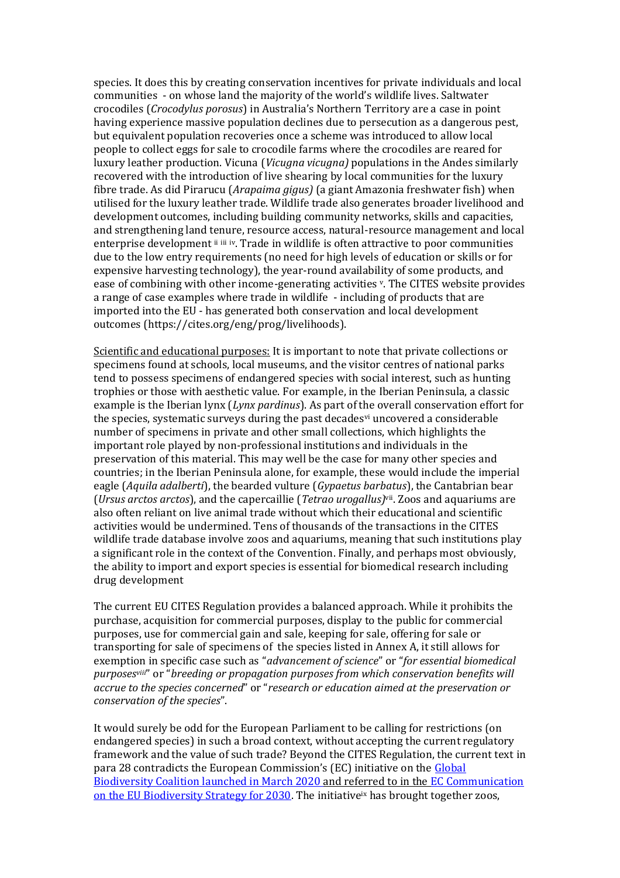species. It does this by creating conservation incentives for private individuals and local communities - on whose land the majority of the world's wildlife lives. Saltwater crocodiles (*Crocodylus porosus*) in Australia's Northern Territory are a case in point having experience massive population declines due to persecution as a dangerous pest, but equivalent population recoveries once a scheme was introduced to allow local people to collect eggs for sale to crocodile farms where the crocodiles are reared for luxury leather production. Vicuna (*Vicugna vicugna)* populations in the Andes similarly recovered with the introduction of live shearing by local communities for the luxury fibre trade. As did Pirarucu (*Arapaima gigus)* (a giant Amazonia freshwater fish) when utilised for the luxury leather trade. Wildlife trade also generates broader livelihood and development outcomes, including building community networks, skills and capacities, and strengthening land tenure, resource access, natural-resource management and local enterprise development ii iii iv. Trade in wildlife is often attractive to poor communities due to the low entry requirements (no need for high levels of education or skills or for expensive harvesting technology), the year-round availability of some products, and ease of combining with other income-generating activities v. The CITES website provides a range of case examples where trade in wildlife - including of products that are imported into the EU - has generated both conservation and local development outcomes (https://cites.org/eng/prog/livelihoods).

Scientific and educational purposes: It is important to note that private collections or specimens found at schools, local museums, and the visitor centres of national parks tend to possess specimens of endangered species with social interest, such as hunting trophies or those with aesthetic value. For example, in the Iberian Peninsula, a classic example is the Iberian lynx (*Lynx pardinus*). As part of the overall conservation effort for the species, systematic surveys during the past decades<sup>y</sup> uncovered a considerable number of specimens in private and other small collections, which highlights the important role played by non-professional institutions and individuals in the preservation of this material. This may well be the case for many other species and countries; in the Iberian Peninsula alone, for example, these would include the imperial eagle (*Aquila adalberti*), the bearded vulture (*Gypaetus barbatus*), the Cantabrian bear (*Ursus arctos arctos*), and the capercaillie (*Tetrao urogallus)*vii. Zoos and aquariums are also often reliant on live animal trade without which their educational and scientific activities would be undermined. Tens of thousands of the transactions in the CITES wildlife trade database involve zoos and aquariums, meaning that such institutions play a significant role in the context of the Convention. Finally, and perhaps most obviously, the ability to import and export species is essential for biomedical research including drug development

The current EU CITES Regulation provides a balanced approach. While it prohibits the purchase, acquisition for commercial purposes, display to the public for commercial purposes, use for commercial gain and sale, keeping for sale, offering for sale or transporting for sale of specimens of the species listed in Annex A, it still allows for exemption in specific case such as "*advancement of science*" or "*for essential biomedical purposesviii*" or "*breeding or propagation purposes from which conservation benefits will accrue to the species concerned*" or "*research or education aimed at the preservation or conservation of the species*".

It would surely be odd for the European Parliament to be calling for restrictions (on endangered species) in such a broad context, without accepting the current regulatory framework and the value of such trade? Beyond the CITES Regulation, the current text in para 28 contradicts the European Commission's (EC) initiative on the [Global](https://ec.europa.eu/commission/presscorner/detail/en/IP_20_348)  [Biodiversity Coalition launched in March 2020](https://ec.europa.eu/commission/presscorner/detail/en/IP_20_348) and referred to in the [EC Communication](https://eur-lex.europa.eu/legal-content/EN/TXT/?qid=1590574123338&uri=CELEX:52020DC0380)  [on the EU Biodiversity Strategy for 2030.](https://eur-lex.europa.eu/legal-content/EN/TXT/?qid=1590574123338&uri=CELEX:52020DC0380) The initiativeix has brought together zoos,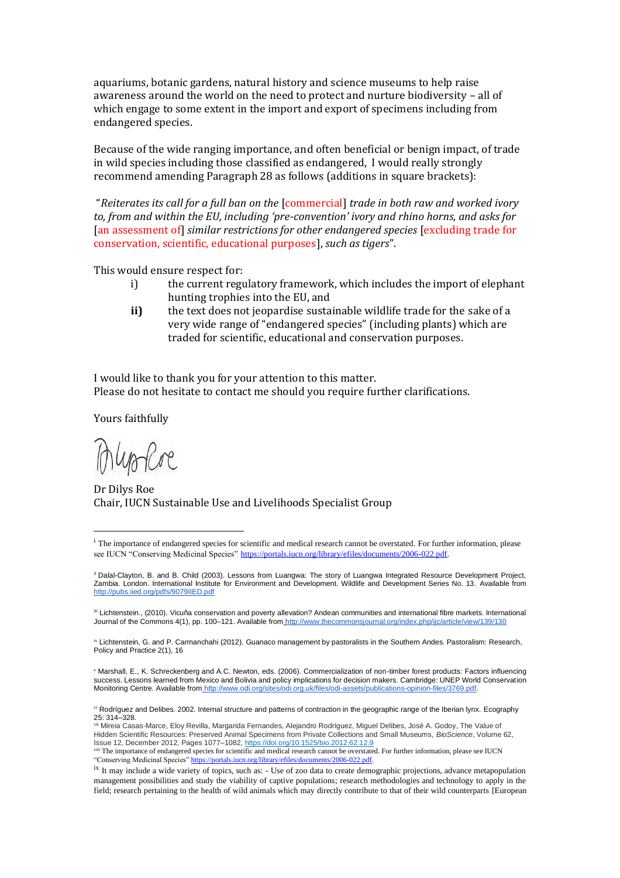aquariums, botanic gardens, natural history and science museums to help raise awareness around the world on the need to protect and nurture biodiversity – all of which engage to some extent in the import and export of specimens including from endangered species.

Because of the wide ranging importance, and often beneficial or benign impact, of trade in wild species including those classified as endangered, I would really strongly recommend amending Paragraph 28 as follows (additions in square brackets):

"*Reiterates its call for a full ban on the* [commercial] *trade in both raw and worked ivory to, from and within the EU, including 'pre-convention' ivory and rhino horns, and asks for*  [an assessment of] *similar restrictions for other endangered species* [excluding trade for conservation, scientific, educational purposes], *such as tigers*".

This would ensure respect for:

- i) the current regulatory framework, which includes the import of elephant hunting trophies into the EU, and
- **ii)** the text does not jeopardise sustainable wildlife trade for the sake of a very wide range of "endangered species" (including plants) which are traded for scientific, educational and conservation purposes.

I would like to thank you for your attention to this matter. Please do not hesitate to contact me should you require further clarifications.

Yours faithfully

uploc

Dr Dilys Roe Chair, IUCN Sustainable Use and Livelihoods Specialist Group

<sup>v</sup> Marshall, E., K. Schreckenberg and A.C. Newton, eds. (2006). Commercialization of non-timber forest products: Factors influencing success. Lessons learned from Mexico and Bolivia and policy implications for decision makers. Cambridge: UNEP World Conservation Monitoring Centre. Available from [http://www.odi.org/sites/odi.org.uk/files/odi-assets/publications-opinion-files/3769.pdf.](http://www.odi.org/sites/odi.org.uk/files/odi-assets/publications-opinion-files/3769.pdf)

vi Rodríguez and Delibes. 2002. Internal structure and patterns of contraction in the geographic range of the Iberian lynx. Ecography 25: 314–328.

vii Mireia Casas-Marce, Eloy Revilla, Margarida Fernandes, Alejandro Rodríguez, Miguel Delibes, José A. Godoy, The Value of Hidden Scientific Resources: Preserved Animal Specimens from Private Collections and Small Museums, *BioScience*, Volume 62, Issue 12, December 2012, Pages 1077–1082[, https://doi.org/10.1525/bio.2012.62.12.9](https://doi.org/10.1525/bio.2012.62.12.9) <sup>viii</sup> The importance of endangered species for scientific and medical research cannot be overstated. For further information, please see IUCN<br>"Conserving Medicinal Species" https://portals.juga.grad/ibrary/afiles/document "Conserving Medicinal Species" https://portals.iucn.org/library/efiles/documents/2006-022.pdf

<sup>&</sup>lt;sup>i</sup> The importance of endangered species for scientific and medical research cannot be overstated. For further information, please see IUCN "Conserving Medicinal Species" [https://portals.iucn.org/library/efiles/documents/2006-022.pdf.](https://portals.iucn.org/library/efiles/documents/2006-022.pdf)

ii Dalal-Clayton, B. and B. Child (2003). Lessons from Luangwa: The story of Luangwa Integrated Resource Development Project, Zambia. London. International Institute for Environment and Development. Wildlife and Development Series No. 13. Available fro[m](http://pubs.iied.org/pdfs/9079IIED.pdf) http://pubs.jied.org/pdfs/9079IIED.pdf

iii Lichtenstein., (2010). Vicuña conservation and poverty allevation? Andean communities and international fibre markets. International Journal of the Commons 4(1), pp. 100-121. Available from <http://www.thecommonsjournal.org/index.php/ijc/article/view/139/130>

iv Lichtenstein, G. and P. Carmanchahi (2012). Guanaco management by pastoralists in the Southern Andes. Pastoralism: Research, Policy and Practice 2(1), 16

ix It may include a wide variety of topics, such as: - Use of zoo data to create demographic projections, advance metapopulation management possibilities and study the viability of captive populations; research methodologies and technology to apply in the field; research pertaining to the health of wild animals which may directly contribute to that of their wild counterparts [European